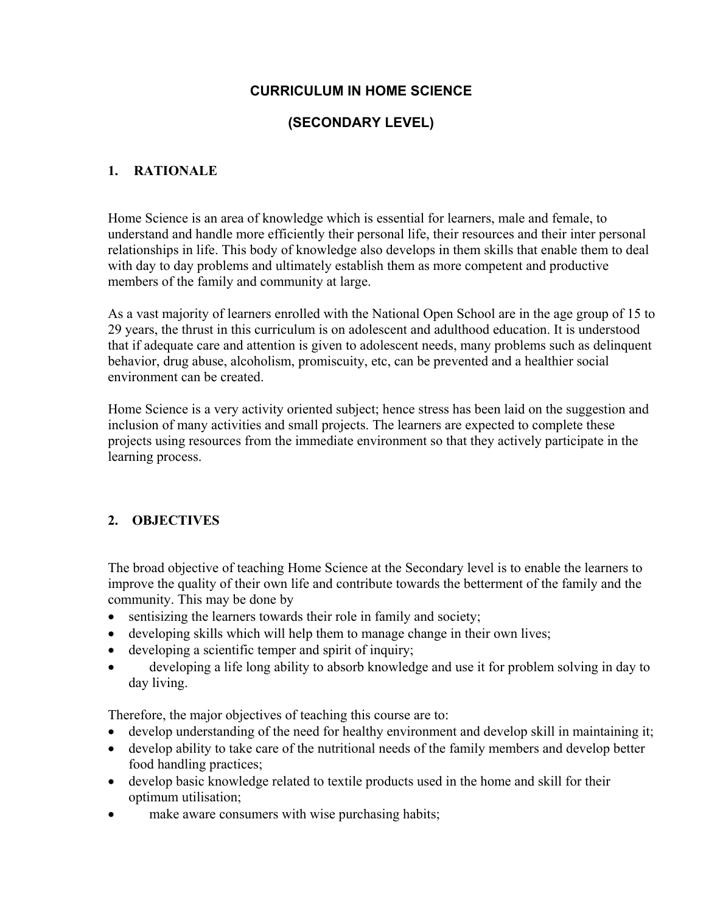# **CURRICULUM IN HOME SCIENCE**

# **(SECONDARY LEVEL)**

# **1. RATIONALE**

Home Science is an area of knowledge which is essential for learners, male and female, to understand and handle more efficiently their personal life, their resources and their inter personal relationships in life. This body of knowledge also develops in them skills that enable them to deal with day to day problems and ultimately establish them as more competent and productive members of the family and community at large.

As a vast majority of learners enrolled with the National Open School are in the age group of 15 to 29 years, the thrust in this curriculum is on adolescent and adulthood education. It is understood that if adequate care and attention is given to adolescent needs, many problems such as delinquent behavior, drug abuse, alcoholism, promiscuity, etc, can be prevented and a healthier social environment can be created.

Home Science is a very activity oriented subject; hence stress has been laid on the suggestion and inclusion of many activities and small projects. The learners are expected to complete these projects using resources from the immediate environment so that they actively participate in the learning process.

# **2. OBJECTIVES**

The broad objective of teaching Home Science at the Secondary level is to enable the learners to improve the quality of their own life and contribute towards the betterment of the family and the community. This may be done by

- sentisizing the learners towards their role in family and society;
- developing skills which will help them to manage change in their own lives;
- developing a scientific temper and spirit of inquiry;
- developing a life long ability to absorb knowledge and use it for problem solving in day to day living.

Therefore, the major objectives of teaching this course are to:

- develop understanding of the need for healthy environment and develop skill in maintaining it;
- develop ability to take care of the nutritional needs of the family members and develop better food handling practices;
- develop basic knowledge related to textile products used in the home and skill for their optimum utilisation;
- make aware consumers with wise purchasing habits;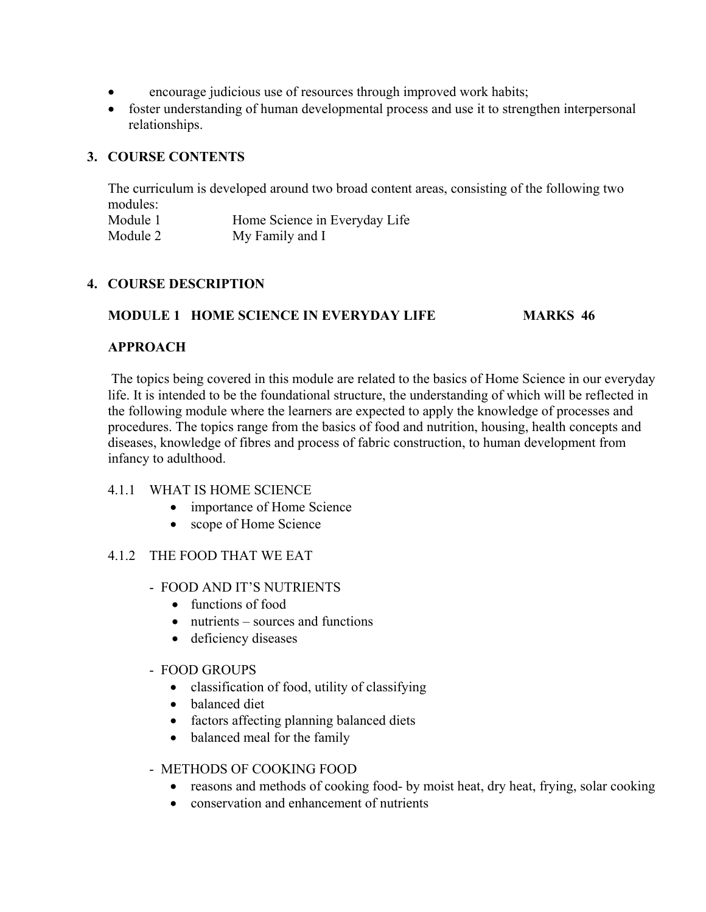- encourage judicious use of resources through improved work habits;
- foster understanding of human developmental process and use it to strengthen interpersonal relationships.

# **3. COURSE CONTENTS**

The curriculum is developed around two broad content areas, consisting of the following two modules:

| Module 1 | Home Science in Everyday Life |
|----------|-------------------------------|
| Module 2 | My Family and I               |

## **4. COURSE DESCRIPTION**

## **MODULE 1 HOME SCIENCE IN EVERYDAY LIFE MARKS 46**

## **APPROACH**

The topics being covered in this module are related to the basics of Home Science in our everyday life. It is intended to be the foundational structure, the understanding of which will be reflected in the following module where the learners are expected to apply the knowledge of processes and procedures. The topics range from the basics of food and nutrition, housing, health concepts and diseases, knowledge of fibres and process of fabric construction, to human development from infancy to adulthood.

## 4.1.1 WHAT IS HOME SCIENCE

- importance of Home Science
- scope of Home Science

## 4.1.2 THE FOOD THAT WE EAT

- FOOD AND IT'S NUTRIENTS
	- functions of food
	- nutrients sources and functions
	- deficiency diseases

#### - FOOD GROUPS

- classification of food, utility of classifying
- balanced diet
- factors affecting planning balanced diets
- balanced meal for the family

## - METHODS OF COOKING FOOD

- reasons and methods of cooking food- by moist heat, dry heat, frying, solar cooking
- conservation and enhancement of nutrients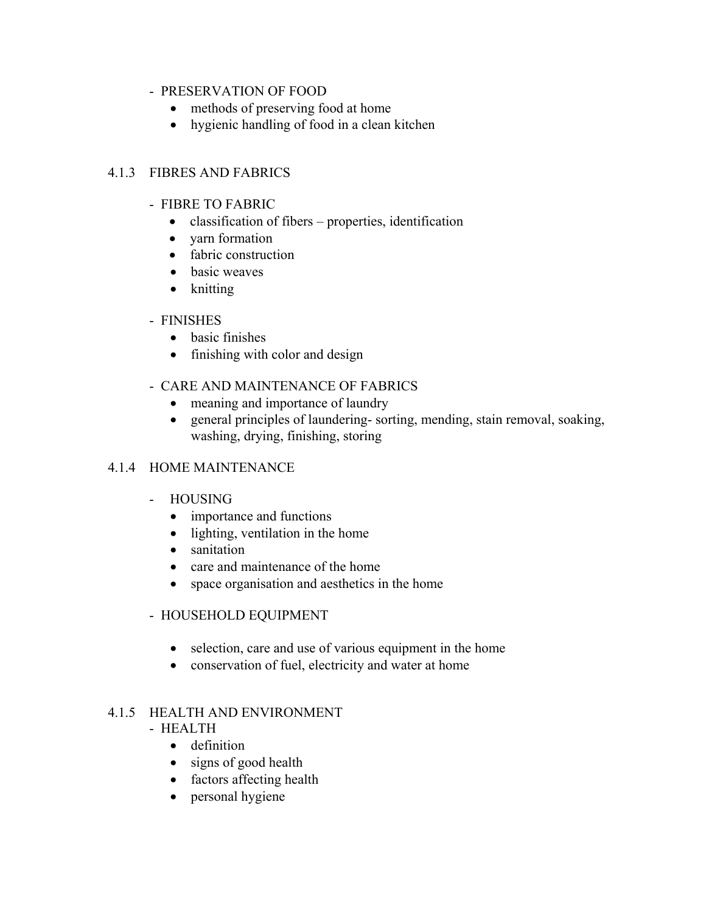### - PRESERVATION OF FOOD

- methods of preserving food at home
- hygienic handling of food in a clean kitchen

## 4.1.3 FIBRES AND FABRICS

- FIBRE TO FABRIC
	- classification of fibers properties, identification
	- yarn formation
	- fabric construction
	- basic weaves
	- knitting

## - FINISHES

- basic finishes
- finishing with color and design
- CARE AND MAINTENANCE OF FABRICS
	- meaning and importance of laundry
	- general principles of laundering- sorting, mending, stain removal, soaking, washing, drying, finishing, storing

## 4.1.4 HOME MAINTENANCE

- HOUSING
	- importance and functions
	- lighting, ventilation in the home
	- sanitation
	- care and maintenance of the home
	- space organisation and aesthetics in the home

## - HOUSEHOLD EQUIPMENT

- selection, care and use of various equipment in the home
- conservation of fuel, electricity and water at home

## 4.1.5 HEALTH AND ENVIRONMENT

- HEALTH
	- definition
	- signs of good health
	- factors affecting health
	- personal hygiene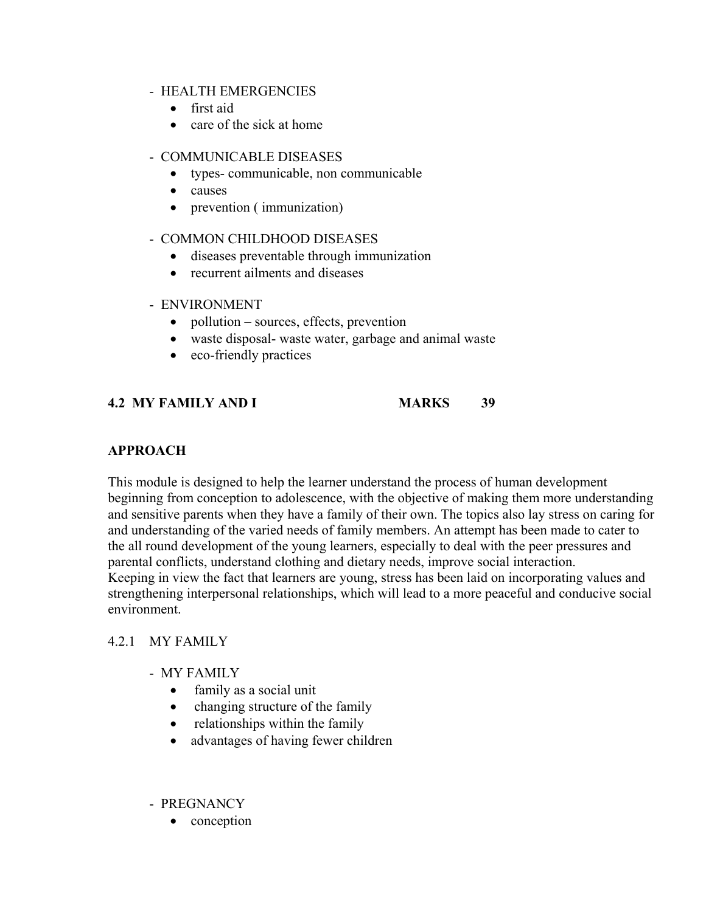#### - HEALTH EMERGENCIES

- first aid
- care of the sick at home

#### - COMMUNICABLE DISEASES

- types- communicable, non communicable
- causes
- prevention ( immunization)
- COMMON CHILDHOOD DISEASES
	- diseases preventable through immunization
	- recurrent ailments and diseases

### - ENVIRONMENT

- pollution sources, effects, prevention
- waste disposal- waste water, garbage and animal waste
- eco-friendly practices

# **4.2 MY FAMILY AND I MARKS 39**

## **APPROACH**

This module is designed to help the learner understand the process of human development beginning from conception to adolescence, with the objective of making them more understanding and sensitive parents when they have a family of their own. The topics also lay stress on caring for and understanding of the varied needs of family members. An attempt has been made to cater to the all round development of the young learners, especially to deal with the peer pressures and parental conflicts, understand clothing and dietary needs, improve social interaction. Keeping in view the fact that learners are young, stress has been laid on incorporating values and strengthening interpersonal relationships, which will lead to a more peaceful and conducive social environment.

## 4.2.1 MY FAMILY

- MY FAMILY
	- family as a social unit
	- changing structure of the family
	- relationships within the family
	- advantages of having fewer children

#### - PREGNANCY

• conception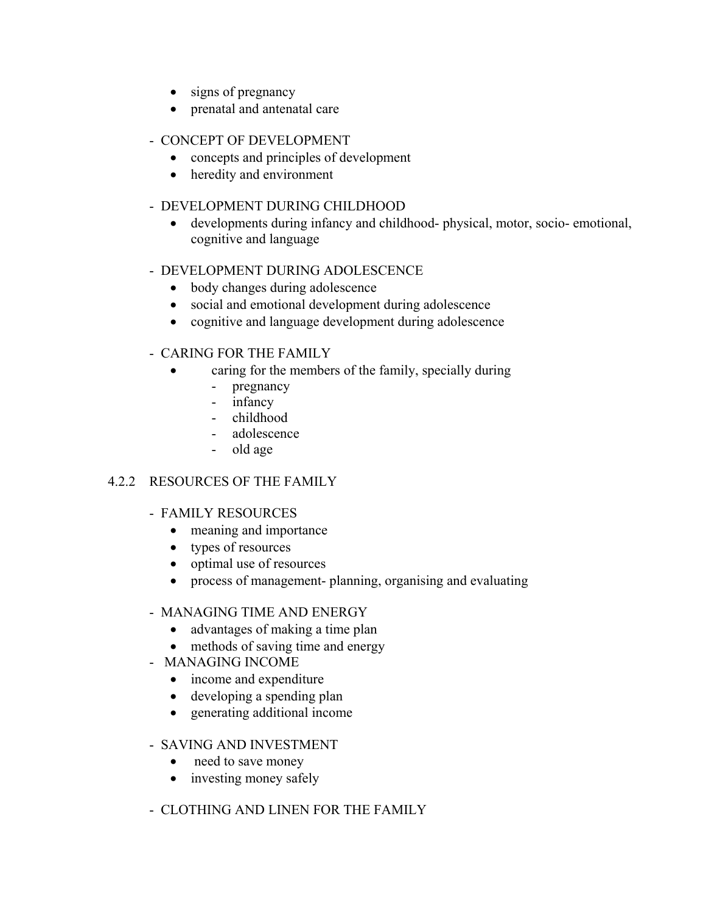- signs of pregnancy
- prenatal and antenatal care
- CONCEPT OF DEVELOPMENT
	- concepts and principles of development
	- heredity and environment

# - DEVELOPMENT DURING CHILDHOOD

• developments during infancy and childhood- physical, motor, socio- emotional, cognitive and language

## - DEVELOPMENT DURING ADOLESCENCE

- body changes during adolescence
- social and emotional development during adolescence
- cognitive and language development during adolescence

## - CARING FOR THE FAMILY

- caring for the members of the family, specially during
	- pregnancy
	- infancy
	- childhood
	- adolescence
	- old age

# 4.2.2 RESOURCES OF THE FAMILY

## - FAMILY RESOURCES

- meaning and importance
- types of resources
- optimal use of resources
- process of management- planning, organising and evaluating

## - MANAGING TIME AND ENERGY

- advantages of making a time plan
- methods of saving time and energy
- MANAGING INCOME
	- income and expenditure
	- developing a spending plan
	- generating additional income
- SAVING AND INVESTMENT
	- need to save money
	- investing money safely
- CLOTHING AND LINEN FOR THE FAMILY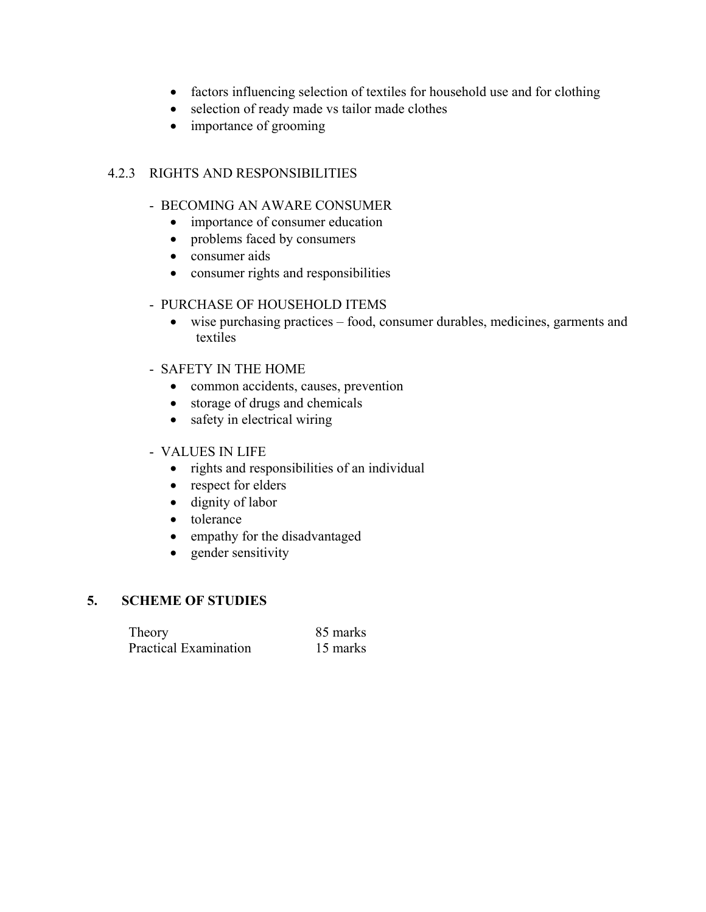- factors influencing selection of textiles for household use and for clothing
- selection of ready made vs tailor made clothes
- importance of grooming

## 4.2.3 RIGHTS AND RESPONSIBILITIES

### - BECOMING AN AWARE CONSUMER

- importance of consumer education
- problems faced by consumers
- consumer aids
- consumer rights and responsibilities

### - PURCHASE OF HOUSEHOLD ITEMS

• wise purchasing practices – food, consumer durables, medicines, garments and textiles

### - SAFETY IN THE HOME

- common accidents, causes, prevention
- storage of drugs and chemicals
- safety in electrical wiring

### - VALUES IN LIFE

- rights and responsibilities of an individual
- respect for elders
- dignity of labor
- tolerance
- empathy for the disadvantaged
- gender sensitivity

### **5. SCHEME OF STUDIES**

| Theory                | 85 marks |
|-----------------------|----------|
| Practical Examination | 15 marks |